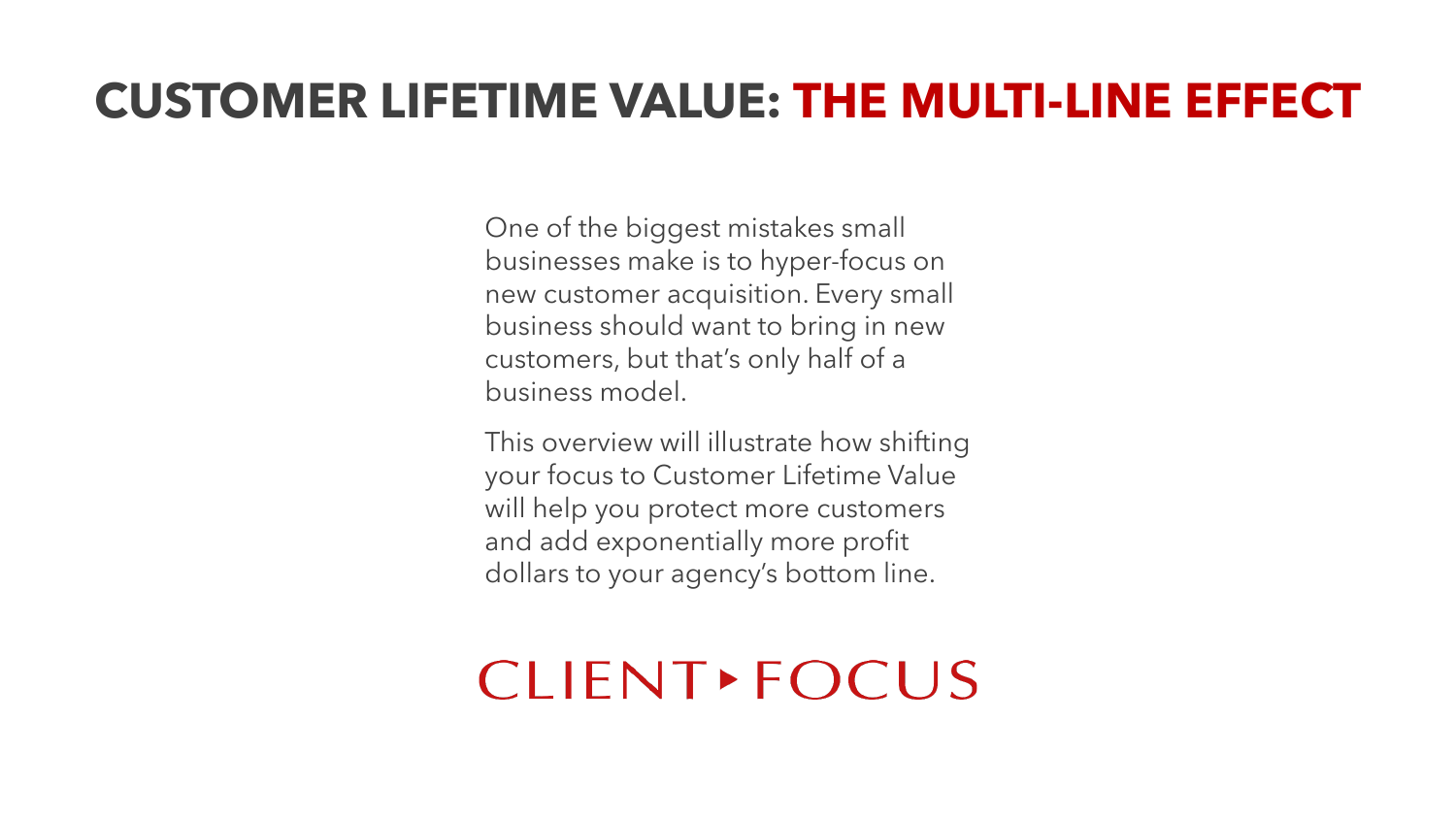One of the biggest mistakes small businesses make is to hyper-focus on new customer acquisition. Every small business should want to bring in new customers, but that's only half of a business model.

This overview will illustrate how shifting your focus to Customer Lifetime Value will help you protect more customers and add exponentially more profit dollars to your agency's bottom line.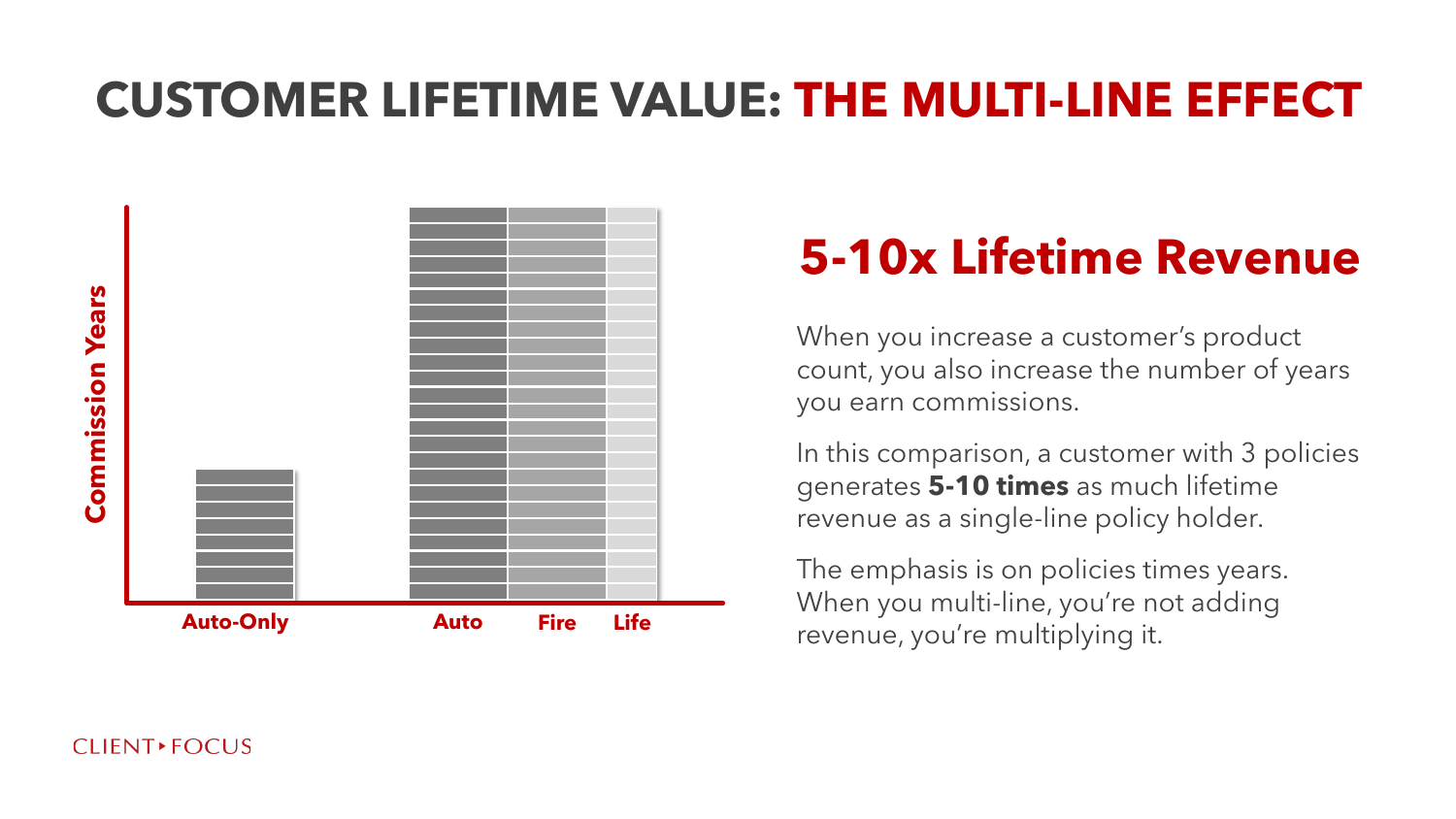

# **5-10x Lifetime Revenue**

When you increase a customer's product count, you also increase the number of years you earn commissions.

In this comparison, a customer with 3 policies generates **5-10 times** as much lifetime revenue as a single-line policy holder.

The emphasis is on policies times years. When you multi-line, you're not adding revenue, you're multiplying it.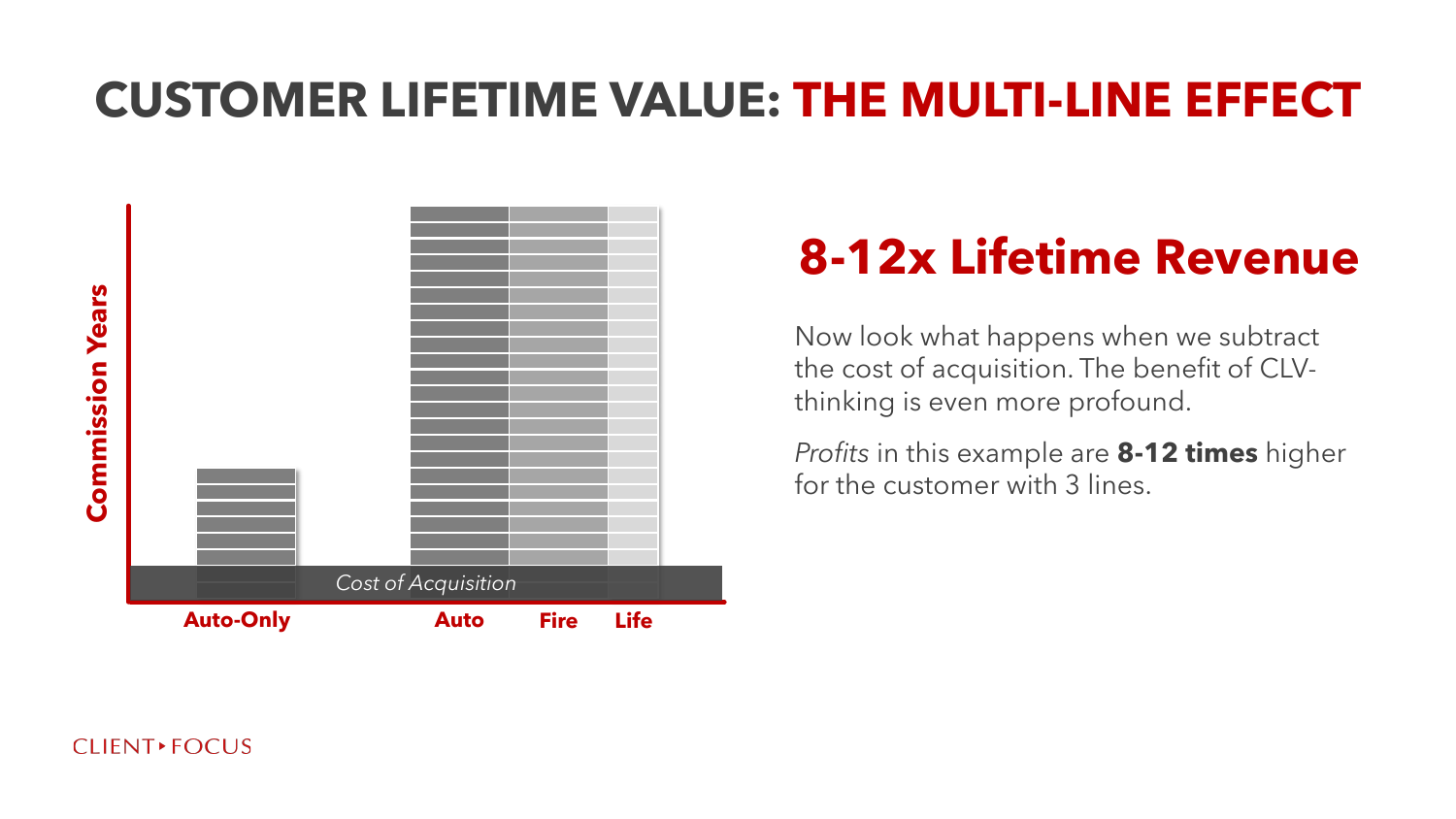

# **8-12x Lifetime Revenue**

Now look what happens when we subtract the cost of acquisition. The benefit of CLVthinking is even more profound.

*Profits* in this example are **8-12 times** higher for the customer with 3 lines.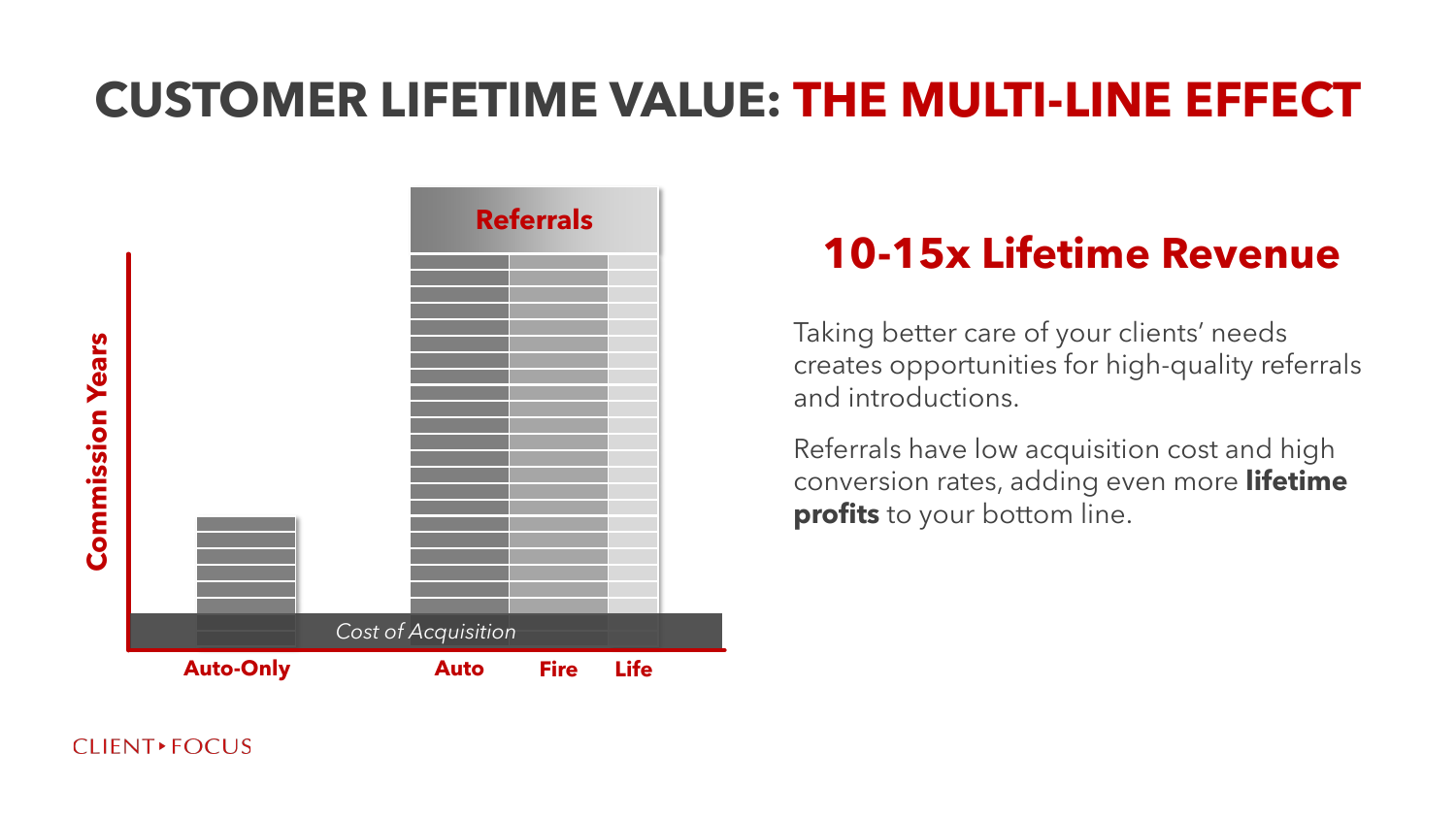

#### **10-15x Lifetime Revenue**

Taking better care of your clients' needs creates opportunities for high-quality referrals and introductions.

Referrals have low acquisition cost and high conversion rates, adding even more **lifetime profits** to your bottom line.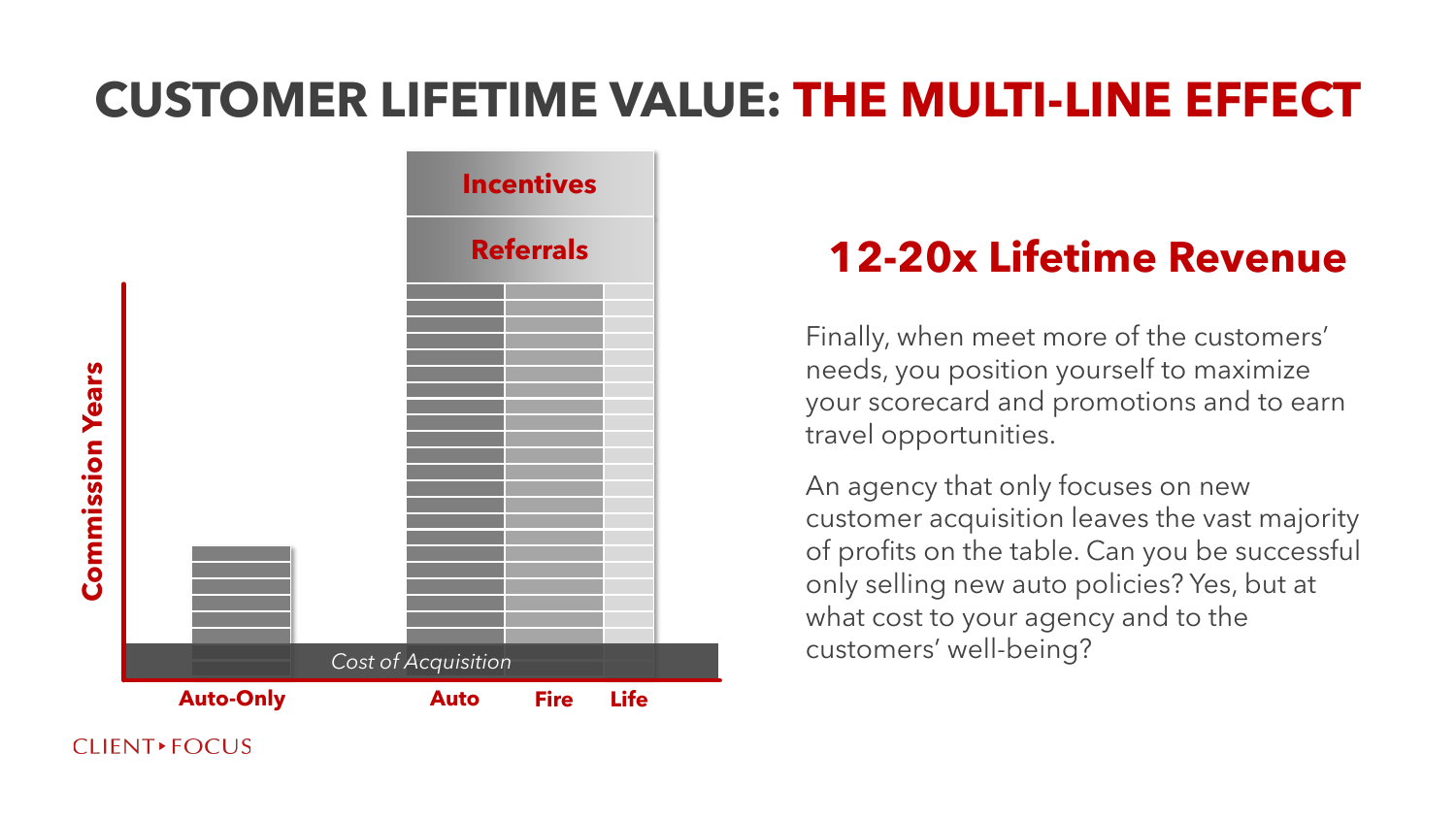

#### **12-20x Lifetime Revenue**

Finally, when meet more of the customers' needs, you position yourself to maximize your scorecard and promotions and to earn travel opportunities.

An agency that only focuses on new customer acquisition leaves the vast majority of profits on the table. Can you be successful only selling new auto policies? Yes, but at what cost to your agency and to the customers' well-being?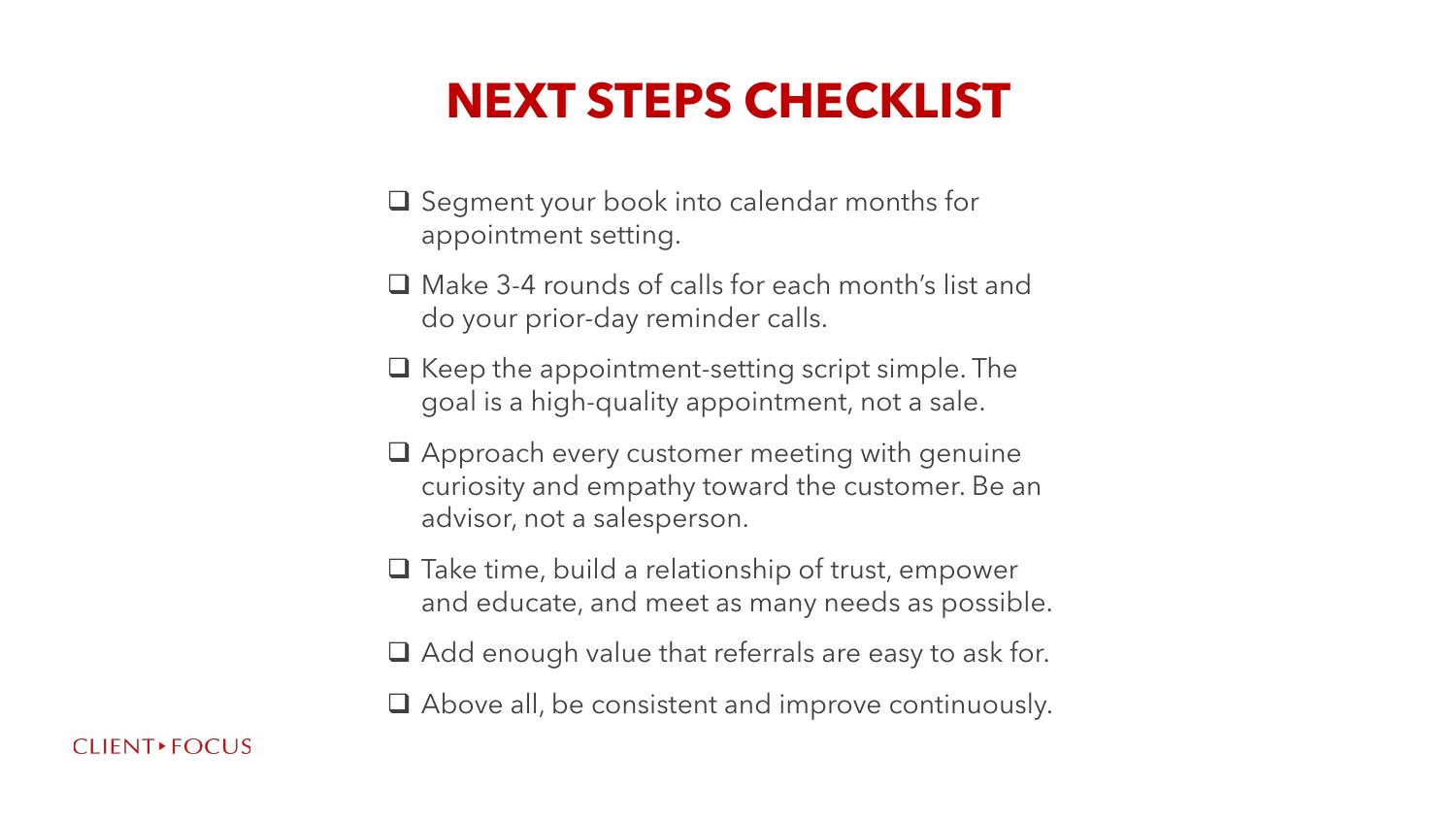### **NEXT STEPS CHECKLIST**

- ❑ Segment your book into calendar months for appointment setting.
- ❑ Make 3-4 rounds of calls for each month's list and do your prior-day reminder calls.
- ❑ Keep the appointment-setting script simple. The goal is a high-quality appointment, not a sale.
- ❑ Approach every customer meeting with genuine curiosity and empathy toward the customer. Be an advisor, not a salesperson.
- ❑ Take time, build a relationship of trust, empower and educate, and meet as many needs as possible.
- ❑ Add enough value that referrals are easy to ask for.
- ❑ Above all, be consistent and improve continuously.